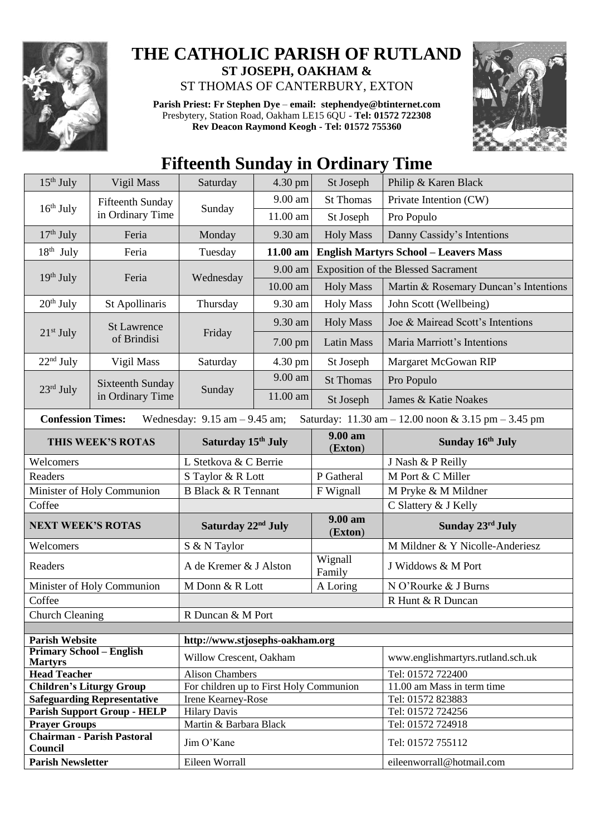

## **THE CATHOLIC PARISH OF RUTLAND ST JOSEPH, OAKHAM &**  ST THOMAS OF CANTERBURY, EXTON

**Parish Priest: Fr Stephen Dye** – **[email: stephendye@btinternet.com](mailto:email:%20%20stephendye@btinternet.com)** Presbytery, Station Road, Oakham LE15 6QU - **Tel: 01572 722308 Rev Deacon Raymond Keogh - Tel: 01572 755360**



## **Fifteenth Sunday in Ordinary Time**

| $15th$ July                                                                                                         | Vigil Mass                           | Saturday                                      | 4.30 pm    | St Joseph                           | Philip & Karen Black                         |  |
|---------------------------------------------------------------------------------------------------------------------|--------------------------------------|-----------------------------------------------|------------|-------------------------------------|----------------------------------------------|--|
|                                                                                                                     | Fifteenth Sunday<br>in Ordinary Time | Sunday                                        | 9.00 am    | <b>St Thomas</b>                    | Private Intention (CW)                       |  |
| $16th$ July                                                                                                         |                                      |                                               | 11.00 am   | St Joseph                           | Pro Populo                                   |  |
| $17th$ July                                                                                                         | Feria                                | Monday                                        | 9.30 am    | <b>Holy Mass</b>                    | Danny Cassidy's Intentions                   |  |
| $18th$ July                                                                                                         | Feria                                | Tuesday                                       | 11.00 am   |                                     | <b>English Martyrs School - Leavers Mass</b> |  |
| $19th$ July                                                                                                         | Feria                                | Wednesday                                     | 9.00 am    | Exposition of the Blessed Sacrament |                                              |  |
|                                                                                                                     |                                      |                                               | $10.00$ am | <b>Holy Mass</b>                    | Martin & Rosemary Duncan's Intentions        |  |
| $20th$ July                                                                                                         | St Apollinaris                       | Thursday                                      | 9.30 am    | <b>Holy Mass</b>                    | John Scott (Wellbeing)                       |  |
| $21st$ July                                                                                                         | <b>St Lawrence</b><br>of Brindisi    | Friday                                        | 9.30 am    | <b>Holy Mass</b>                    | Joe & Mairead Scott's Intentions             |  |
|                                                                                                                     |                                      |                                               | 7.00 pm    | <b>Latin Mass</b>                   | Maria Marriott's Intentions                  |  |
| $22nd$ July                                                                                                         | Vigil Mass                           | Saturday                                      | 4.30 pm    | St Joseph                           | Margaret McGowan RIP                         |  |
| 23rd July                                                                                                           | Sixteenth Sunday<br>in Ordinary Time | Sunday                                        | 9.00 am    | <b>St Thomas</b>                    | Pro Populo                                   |  |
|                                                                                                                     |                                      |                                               | 11.00 am   | St Joseph                           | James & Katie Noakes                         |  |
| <b>Confession Times:</b><br>Wednesday: $9.15$ am $-9.45$ am;<br>Saturday: 11.30 am - 12.00 noon & 3.15 pm - 3.45 pm |                                      |                                               |            |                                     |                                              |  |
| THIS WEEK'S ROTAS                                                                                                   |                                      | Saturday 15 <sup>th</sup> July                |            | $9.00 a$ m<br>(Exton)               | Sunday 16th July                             |  |
| Welcomers                                                                                                           |                                      | L Stetkova & C Berrie                         |            |                                     | J Nash & P Reilly                            |  |
| Readers                                                                                                             |                                      | S Taylor & R Lott                             |            | P Gatheral                          | M Port & C Miller                            |  |
| Minister of Holy Communion                                                                                          |                                      | <b>B Black &amp; R Tennant</b>                |            | F Wignall                           | M Pryke & M Mildner                          |  |
| Coffee                                                                                                              |                                      |                                               |            |                                     | C Slattery & J Kelly                         |  |
| <b>NEXT WEEK'S ROTAS</b>                                                                                            |                                      | Saturday 22 <sup>nd</sup> July                |            | 9.00 am<br>(Exton)                  | Sunday 23rd July                             |  |
| Welcomers                                                                                                           |                                      | S & N Taylor                                  |            |                                     | M Mildner & Y Nicolle-Anderiesz              |  |
| Readers                                                                                                             |                                      | A de Kremer & J Alston                        |            | Wignall<br>Family                   | J Widdows & M Port                           |  |
|                                                                                                                     | Minister of Holy Communion           | M Donn & R Lott                               |            | A Loring                            | N O'Rourke & J Burns                         |  |
| Coffee                                                                                                              |                                      |                                               |            |                                     | R Hunt & R Duncan                            |  |
| Church Cleaning                                                                                                     |                                      | R Duncan & M Port                             |            |                                     |                                              |  |
|                                                                                                                     |                                      |                                               |            |                                     |                                              |  |
| <b>Parish Website</b>                                                                                               |                                      | http://www.stjosephs-oakham.org               |            |                                     |                                              |  |
| <b>Primary School – English</b><br><b>Martyrs</b>                                                                   |                                      | Willow Crescent, Oakham                       |            |                                     | www.englishmartyrs.rutland.sch.uk            |  |
| <b>Head Teacher</b>                                                                                                 |                                      | <b>Alison Chambers</b>                        |            |                                     | Tel: 01572 722400                            |  |
| <b>Children's Liturgy Group</b>                                                                                     |                                      | For children up to First Holy Communion       |            |                                     | 11.00 am Mass in term time                   |  |
| <b>Safeguarding Representative</b>                                                                                  |                                      | Irene Kearney-Rose                            |            |                                     | Tel: 01572 823883                            |  |
| <b>Parish Support Group - HELP</b><br><b>Prayer Groups</b>                                                          |                                      | <b>Hilary Davis</b><br>Martin & Barbara Black |            |                                     | Tel: 01572 724256<br>Tel: 01572 724918       |  |
| <b>Chairman - Parish Pastoral</b>                                                                                   |                                      |                                               |            |                                     |                                              |  |
| Council                                                                                                             |                                      | Jim O'Kane                                    |            |                                     | Tel: 01572 755112                            |  |
| <b>Parish Newsletter</b>                                                                                            |                                      | Eileen Worrall                                |            |                                     | eileenworrall@hotmail.com                    |  |